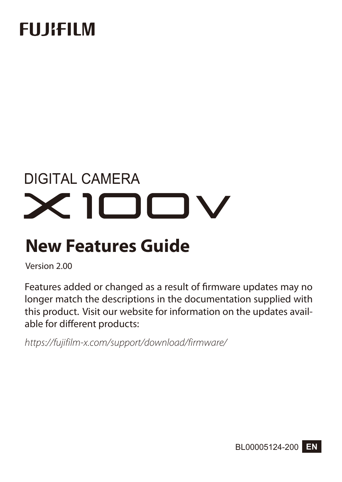## **FUJIEUM**

# **DIGITAL CAMERA**  $\times$ I $\square$

### **New Features Guide**

Version 2.00

Features added or changed as a result of firmware updates may no longer match the descriptions in the documentation supplied with this product. Visit our website for information on the updates available for different products:

*https://fujifilm-x.com/support/download/firmware/*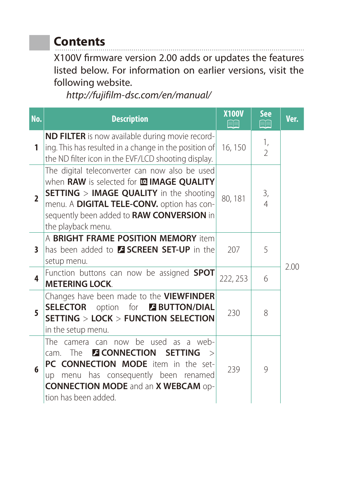### **Contents**

X100V firmware version 2.00 adds or updates the features listed below. For information on earlier versions, visit the following website.

*http://fujifilm-dsc.com/en/manual/*

| No.                      | <b>Description</b>                                                                                                                                                                                                                                                    | <b>X100V</b><br>FI | <b>See</b><br>酮      | Ver. |
|--------------------------|-----------------------------------------------------------------------------------------------------------------------------------------------------------------------------------------------------------------------------------------------------------------------|--------------------|----------------------|------|
| 1                        | <b>ND FILTER</b> is now available during movie record-<br>ing. This has resulted in a change in the position of<br>the ND filter icon in the EVF/LCD shooting display.                                                                                                | 16, 150            | 1,<br>$\mathfrak{D}$ |      |
| $\overline{\phantom{a}}$ | The digital teleconverter can now also be used<br>when RAW is selected for <b>IMAGE QUALITY</b><br><b>SETTING &gt; IMAGE QUALITY</b> in the shooting<br>menu. A DIGITAL TELE-CONV. option has con-<br>sequently been added to RAW CONVERSION in<br>the playback menu. | 80, 181            | 3,<br>$\overline{4}$ |      |
| 3                        | A BRIGHT FRAME POSITION MEMORY item<br>Thas been added to <b>ESCREEN SET-UP</b> in the<br>setup menu.                                                                                                                                                                 | 207                | 5                    | 2.00 |
| 4                        | Function buttons can now be assigned SPOT<br><b>METERING LOCK</b>                                                                                                                                                                                                     | 222, 253           | 6                    |      |
| 5                        | Changes have been made to the <b>VIEWFINDER</b><br><b>SELECTOR</b> option for <b>BUTTON/DIAL</b><br>SETTING > LOCK > FUNCTION SELECTION<br>in the setup menu.                                                                                                         | 230                | 8                    |      |
| 6                        | The camera can now be used as a web-<br>cam. The <b>ECONNECTION</b><br><b>SETTING</b><br>PC CONNECTION MODE item in the set-<br>menu has consequently been renamed<br><b>up</b><br><b>CONNECTION MODE and an X WEBCAM op-</b><br>tion has been added.                 | 239                | 9                    |      |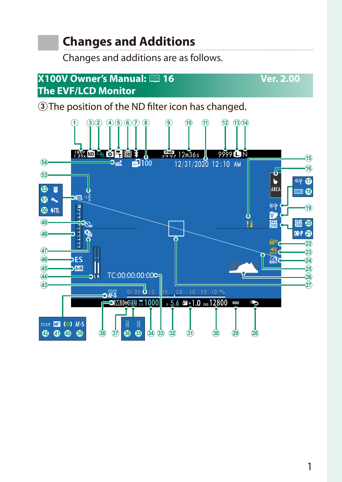### **Changes and Additions**

Changes and additions are as follows.

#### <span id="page-2-0"></span>**X100V Owner's Manual:**  $\mathbb{E}$ **16 Ver. 2.00 The EVF/LCD Monitor**

3) The position of the ND filter icon has changed.

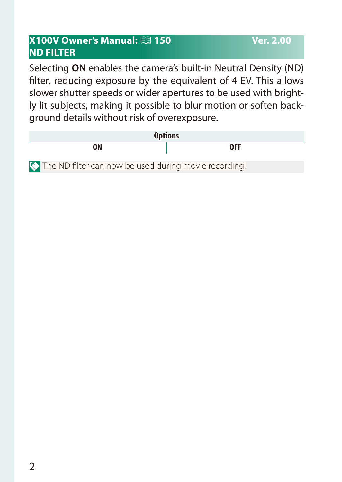#### <span id="page-3-0"></span>**X100V Owner's Manual: <b><u>Pandia 150</u>** Ver. 2.00 **ND FILTER**

Selecting **ON** enables the camera's built-in Neutral Density (ND) filter, reducing exposure by the equivalent of 4 EV. This allows slower shutter speeds or wider apertures to be used with brightly lit subjects, making it possible to blur motion or soften background details without risk of overexposure.

|               | <b>Options</b> |    |  |              |                          |     |              |  |
|---------------|----------------|----|--|--------------|--------------------------|-----|--------------|--|
|               |                | ON |  |              |                          |     | <b>OFF</b>   |  |
| $\sim$ $\sim$ | $\cdots$       |    |  | $\mathbf{r}$ | $\overline{\phantom{a}}$ | . . | $\mathbf{r}$ |  |

The ND filter can now be used during movie recording.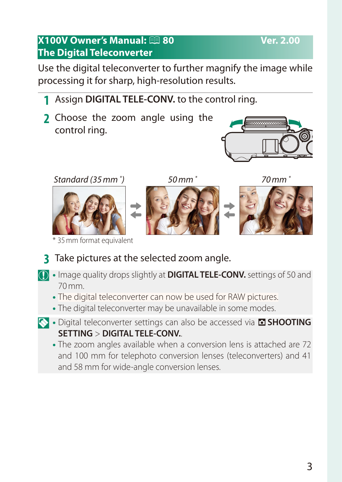## Use the digital teleconverter to further magnify the image while

#### **1** Assign **DIGITAL TELE-CONV.** to the control ring.

processing it for sharp, high-resolution results.

<span id="page-4-0"></span>**X100V Owner's Manual:**  $\bigcirc$  **80 Ver. 2.00** 

**2** Choose the zoom angle using the control ring.



#### *Standard (35mm \**

**The Digital Teleconverter**



\* 35mm format equivalent

*) 50mm \* 70mm \**







**3** Take pictures at the selected zoom angle.

- O• Image quality drops slightly at **DIGITAL TELE-CONV.** settings of 50 and 70mm.
	- The digital teleconverter can now be used for RAW pictures.
	- The digital teleconverter may be unavailable in some modes.
- **N** Digital teleconverter settings can also be accessed via **ASHOOTING SETTING** > **DIGITAL TELE-CONV.**.
	- The zoom angles available when a conversion lens is attached are 72 and 100 mm for telephoto conversion lenses (teleconverters) and 41 and 58 mm for wide-angle conversion lenses.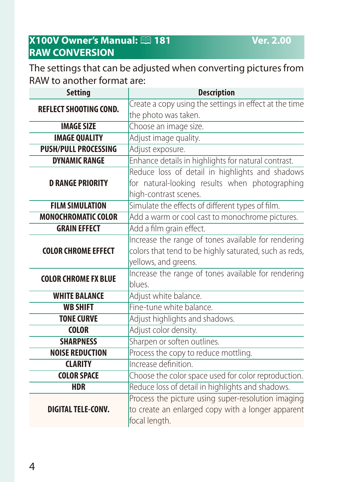#### <span id="page-5-0"></span>**X100V Owner's Manual: <b><u>Parts</u>** 181 **Ver. 2.00 RAW CONVERSION**

The settings that can be adjusted when converting pictures from RAW to another format are:

| <b>Setting</b>                | <b>Description</b>                                     |  |  |  |
|-------------------------------|--------------------------------------------------------|--|--|--|
| <b>REFLECT SHOOTING COND.</b> | Create a copy using the settings in effect at the time |  |  |  |
|                               | the photo was taken.                                   |  |  |  |
| <b>IMAGE SIZE</b>             | Choose an image size.                                  |  |  |  |
| <b>IMAGE QUALITY</b>          | Adjust image quality.                                  |  |  |  |
| <b>PUSH/PULL PROCESSING</b>   | Adjust exposure.                                       |  |  |  |
| <b>DYNAMIC RANGE</b>          | Enhance details in highlights for natural contrast.    |  |  |  |
|                               | Reduce loss of detail in highlights and shadows        |  |  |  |
| <b>D RANGE PRIORITY</b>       | for natural-looking results when photographing         |  |  |  |
|                               | high-contrast scenes.                                  |  |  |  |
| <b>FILM SIMULATION</b>        | Simulate the effects of different types of film.       |  |  |  |
| <b>MONOCHROMATIC COLOR</b>    | Add a warm or cool cast to monochrome pictures.        |  |  |  |
| <b>GRAIN EFFECT</b>           | Add a film grain effect.                               |  |  |  |
|                               | Increase the range of tones available for rendering    |  |  |  |
| <b>COLOR CHROME EFFECT</b>    | colors that tend to be highly saturated, such as reds, |  |  |  |
|                               | yellows, and greens.                                   |  |  |  |
| <b>COLOR CHROME FX BLUE</b>   | Increase the range of tones available for rendering    |  |  |  |
|                               | blues.                                                 |  |  |  |
| <b>WHITE BALANCE</b>          | Adjust white balance.                                  |  |  |  |
| <b>WB SHIFT</b>               | Fine-tune white balance.                               |  |  |  |
| <b>TONE CURVE</b>             | Adjust highlights and shadows.                         |  |  |  |
| <b>COLOR</b>                  | Adjust color density.                                  |  |  |  |
| <b>SHARPNESS</b>              | Sharpen or soften outlines.                            |  |  |  |
| <b>NOISE REDUCTION</b>        | Process the copy to reduce mottling.                   |  |  |  |
| <b>CLARITY</b>                | Increase definition.                                   |  |  |  |
| <b>COLOR SPACE</b>            | Choose the color space used for color reproduction.    |  |  |  |
| <b>HDR</b>                    | Reduce loss of detail in highlights and shadows.       |  |  |  |
|                               | Process the picture using super-resolution imaging     |  |  |  |
| <b>DIGITAL TELE-CONV.</b>     | to create an enlarged copy with a longer apparent      |  |  |  |
|                               | focal length.                                          |  |  |  |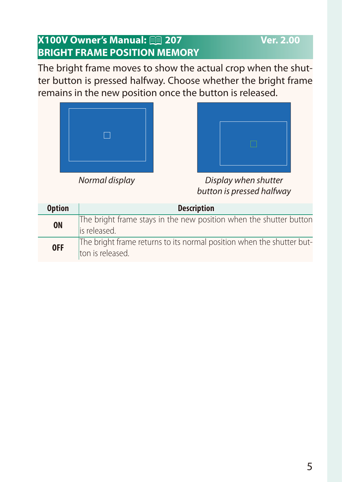#### <span id="page-6-0"></span>**X100V Owner's Manual: <b><u>Paul</u>** 207 **Ver. 2.00 BRIGHT FRAME POSITION MEMORY**

The bright frame moves to show the actual crop when the shutter button is pressed halfway. Choose whether the bright frame remains in the new position once the button is released.





*Normal display Display when shutter button is pressed halfway*

| <b>Option</b> | <b>Description</b>                                                                        |
|---------------|-------------------------------------------------------------------------------------------|
| <b>ON</b>     | The bright frame stays in the new position when the shutter button<br>lis released.       |
| <b>OFF</b>    | The bright frame returns to its normal position when the shutter but-<br>ton is released. |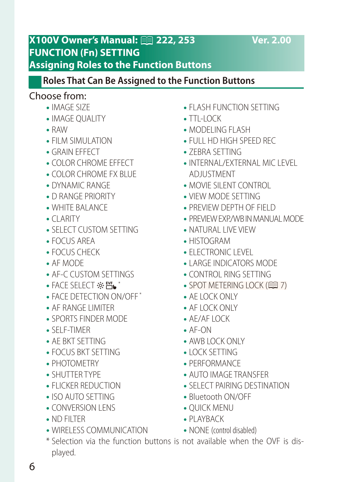#### <span id="page-7-0"></span>**X100V Owner's Manual:** P**222, 253 Ver. 2.00 FUNCTION (Fn) SETTING Assigning Roles to the Function Buttons**

#### **Roles That Can Be Assigned to the Function Buttons**

#### Choose from:

- IMAGE SIZE
- IMAGE OUALITY
- • RAW
- FILM SIMULATION
- GRAIN FFFFCT
- COLOR CHROME EFFECT
- COI OR CHROME FX BLUE
- DYNAMIC RANGE
- • D RANGE PRIORITY
- WHITE BAI ANCE
- $\bullet$  CLARITY
- SELECT CUSTOM SETTING
- FOCUS AREA
- • FOCUS CHECK
- • AF MODE
- AF-C CUSTOM SETTINGS
- $\bullet$  FACE SELECT  $\otimes$   $\mathbb{H}_{\bullet}^*$
- FACE DETECTION ON/OFF \*
- AF RANGE LIMITER
- SPORTS FINDER MODE
- **SELE-TIMER**
- AF BKT SFTTING
- FOCUS BKT SETTING
- PHOTOMETRY
- • SHUTTER TYPE
- FLICKER REDUCTION
- ISO AUTO SETTING
- CONVERSION LENS
- ND FILTER
- WIRELESS COMMUNICATION
- FLASH FUNCTION SETTING
- $\bullet$  TTL-LOCK
- MODELING FLASH
- • FULL HD HIGH SPEED REC
- **ZEBRA SETTING**
- INTERNAL/EXTERNAL MIC LEVEL ADJUSTMENT
- MOVIE SILENT CONTROL
- VIEW MODE SETTING
- PREVIEW DEPTH OF FIELD
- PREVIEW EXP/WB IN MANUAL MODE
- NATURAL LIVE VIEW
- • HISTOGRAM
- ELECTRONIC LEVEL
- LARGE INDICATORS MODE
- • CONTROL RING SETTING
- $\bullet$  SPOT METERING LOCK ( $\boxplus$  [7](#page-8-0))
- AF LOCK ONLY
- AF LOCK ONLY
- $\bullet$  AF/AF LOCK
- $\bullet$  AF-ON
- AWB LOCK ONLY
- LOCK SETTING
- PERFORMANCE
- AUTO IMAGE TRANSFER
- SELECT PAIRING DESTINATION
- Bluetooth ON/OFF
- OUICK MENU
- PI AYBACK
- NONE (control disabled)
- \* Selection via the function buttons is not available when the OVF is displayed.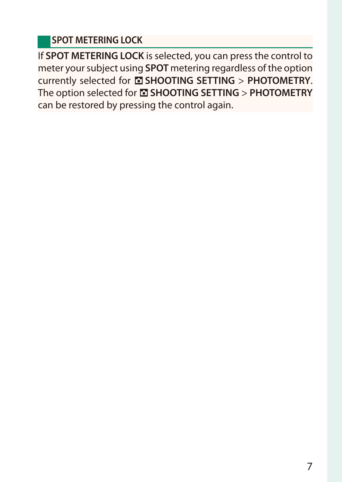#### <span id="page-8-0"></span>**SPOT METERING LOCK**

If **SPOT METERING LOCK** is selected, you can press the control to meter your subject using **SPOT** metering regardless of the option currently selected for A**SHOOTING SETTING** > **PHOTOMETRY**. The option selected for A**SHOOTING SETTING** > **PHOTOMETRY** can be restored by pressing the control again.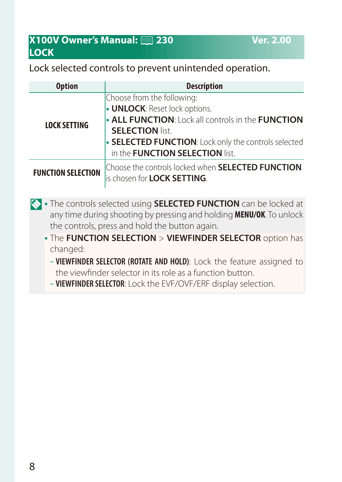#### <span id="page-9-0"></span>**X100V Owner's Manual: <b><u>Paul</u>** 230 Ver. 2.00 **LOCK**

#### Lock selected controls to prevent unintended operation.

| <b>Option</b>             | <b>Description</b>                                                                                                                                                                                                                                     |
|---------------------------|--------------------------------------------------------------------------------------------------------------------------------------------------------------------------------------------------------------------------------------------------------|
| <b>LOCK SETTING</b>       | Choose from the following:<br><b>UNLOCK: Reset lock options.</b><br><b>ALL FUNCTION:</b> Lock all controls in the FUNCTION<br><b>SELECTION list.</b><br>• SELECTED FUNCTION: Lock only the controls selected<br>in the <b>FUNCTION SELECTION</b> list. |
| <b>FUNCTION SELECTION</b> | Choose the controls locked when SELECTED FUNCTION<br>lis chosen for LOCK SETTING.                                                                                                                                                                      |

- **N** The controls selected using **SELECTED FUNCTION** can be locked at any time during shooting by pressing and holding **MENU/OK**. To unlock the controls, press and hold the button again.
	- **The FUNCTION SELECTION > VIEWFINDER SELECTOR** option has changed:
		- **VIEWFINDER SELECTOR (ROTATE AND HOLD)**: Lock the feature assigned to the viewfinder selector in its role as a function button.
		- **VIEWFINDER SELECTOR**: Lock the EVF/OVF/ERF display selection.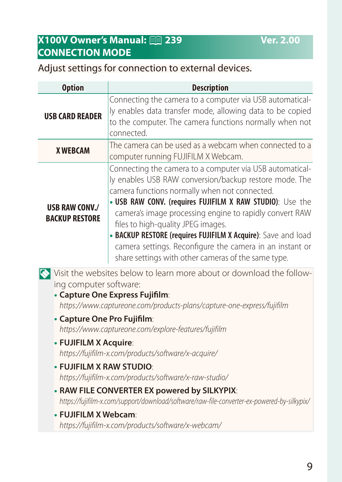#### <span id="page-10-0"></span>**X100V Owner's Manual: <b><b>P** 239 Ver. 2.00 **CONNECTION MODE**

#### Adjust settings for connection to external devices.

| <b>Option</b>                                                                                                                                                                                               | <b>Description</b>                                                                                                                                                                                                                                                                                                                                                                                                                                                                                                    |  |  |  |
|-------------------------------------------------------------------------------------------------------------------------------------------------------------------------------------------------------------|-----------------------------------------------------------------------------------------------------------------------------------------------------------------------------------------------------------------------------------------------------------------------------------------------------------------------------------------------------------------------------------------------------------------------------------------------------------------------------------------------------------------------|--|--|--|
| <b>USB CARD READER</b>                                                                                                                                                                                      | Connecting the camera to a computer via USB automatical-<br>ly enables data transfer mode, allowing data to be copied<br>to the computer. The camera functions normally when not<br>connected.                                                                                                                                                                                                                                                                                                                        |  |  |  |
| <b>X WEBCAM</b>                                                                                                                                                                                             | The camera can be used as a webcam when connected to a<br>computer running FUJIFILM X Webcam.                                                                                                                                                                                                                                                                                                                                                                                                                         |  |  |  |
| <b>USB RAW CONV./</b><br><b>BACKUP RESTORE</b>                                                                                                                                                              | Connecting the camera to a computer via USB automatical-<br>ly enables USB RAW conversion/backup restore mode. The<br>camera functions normally when not connected.<br>. USB RAW CONV. (requires FUJIFILM X RAW STUDIO): Use the<br>camera's image processing engine to rapidly convert RAW<br>files to high-quality JPEG images.<br>• BACKUP RESTORE (requires FUJIFILM X Acquire): Save and load<br>camera settings. Reconfigure the camera in an instant or<br>share settings with other cameras of the same type. |  |  |  |
| Visit the websites below to learn more about or download the follow-<br>ing computer software:<br>• Capture One Express Fujifilm:<br>https://www.captureone.com/products-plans/capture-one-express/fujifilm |                                                                                                                                                                                                                                                                                                                                                                                                                                                                                                                       |  |  |  |
|                                                                                                                                                                                                             | • Capture One Pro Fujifilm:<br>https://www.captureone.com/explore-features/fujifilm<br>• FUJIFILM X Acquire:<br>https://fujifilm-x.com/products/software/x-acquire/<br>. FUJIFILM X RAW STUDIO<br>https://fujifilm-x.com/products/software/x-raw-studio/<br>• RAW FILE CONVERTER EX powered by SILKYPIX:<br>https://fujifilm-x.com/support/download/software/raw-file-converter-ex-powered-by-silkypix/<br>• FUJIFILM X Webcam:<br>https://fujifilm-x.com/products/software/x-webcam/                                 |  |  |  |
|                                                                                                                                                                                                             |                                                                                                                                                                                                                                                                                                                                                                                                                                                                                                                       |  |  |  |
|                                                                                                                                                                                                             |                                                                                                                                                                                                                                                                                                                                                                                                                                                                                                                       |  |  |  |
|                                                                                                                                                                                                             |                                                                                                                                                                                                                                                                                                                                                                                                                                                                                                                       |  |  |  |
|                                                                                                                                                                                                             |                                                                                                                                                                                                                                                                                                                                                                                                                                                                                                                       |  |  |  |